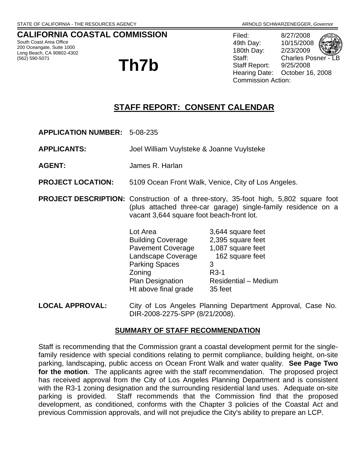## **CALIFORNIA COASTAL COMMISSION**

South Coast Area Office 200 Oceangate, Suite 1000 Long Beach, CA 90802-4302

## (562) 590-5071 **Th7b**

Filed: 8/27/2008 49th Day: 10/15/2008 180th Day: 2/23/2009 Staff: Charles Posner Staff Report: 9/25/2008 Hearing Date: October 16, 2008 Commission Action:

## **STAFF REPORT: CONSENT CALENDAR**

**APPLICATION NUMBER:** 5-08-235

**APPLICANTS:** Joel William Vuylsteke & Joanne Vuylsteke

- **AGENT:** James R. Harlan
- **PROJECT LOCATION:** 5109 Ocean Front Walk, Venice, City of Los Angeles.
- **PROJECT DESCRIPTION:** Construction of a three-story, 35-foot high, 5,802 square foot (plus attached three-car garage) single-family residence on a vacant 3,644 square foot beach-front lot.
	- Lot Area 3,644 square feet Building Coverage 2,395 square feet Pavement Coverage 1,087 square feet Landscape Coverage 162 square feet Parking Spaces 3 Zoning R3-1 Plan Designation Residential – Medium Ht above final grade 35 feet
- **LOCAL APPROVAL:** City of Los Angeles Planning Department Approval, Case No. DIR-2008-2275-SPP (8/21/2008).

#### **SUMMARY OF STAFF RECOMMENDATION**

Staff is recommending that the Commission grant a coastal development permit for the singlefamily residence with special conditions relating to permit compliance, building height, on-site parking, landscaping, public access on Ocean Front Walk and water quality. **See Page Two for the motion**. The applicants agree with the staff recommendation. The proposed project has received approval from the City of Los Angeles Planning Department and is consistent with the R3-1 zoning designation and the surrounding residential land uses. Adequate on-site parking is provided. Staff recommends that the Commission find that the proposed development, as conditioned, conforms with the Chapter 3 policies of the Coastal Act and previous Commission approvals, and will not prejudice the City's ability to prepare an LCP.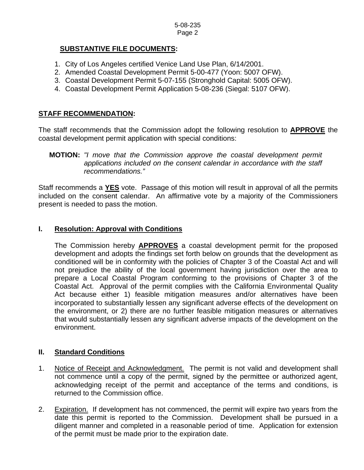## **SUBSTANTIVE FILE DOCUMENTS:**

- 1. City of Los Angeles certified Venice Land Use Plan, 6/14/2001.
- 2. Amended Coastal Development Permit 5-00-477 (Yoon: 5007 OFW).
- 3. Coastal Development Permit 5-07-155 (Stronghold Capital: 5005 OFW).
- 4. Coastal Development Permit Application 5-08-236 (Siegal: 5107 OFW).

## **STAFF RECOMMENDATION:**

The staff recommends that the Commission adopt the following resolution to **APPROVE** the coastal development permit application with special conditions:

Staff recommends a **YES** vote. Passage of this motion will result in approval of all the permits included on the consent calendar. An affirmative vote by a majority of the Commissioners present is needed to pass the motion.

## **I. Resolution: Approval with Conditions**

The Commission hereby **APPROVES** a coastal development permit for the proposed development and adopts the findings set forth below on grounds that the development as conditioned will be in conformity with the policies of Chapter 3 of the Coastal Act and will not prejudice the ability of the local government having jurisdiction over the area to prepare a Local Coastal Program conforming to the provisions of Chapter 3 of the Coastal Act. Approval of the permit complies with the California Environmental Quality Act because either 1) feasible mitigation measures and/or alternatives have been incorporated to substantially lessen any significant adverse effects of the development on the environment, or 2) there are no further feasible mitigation measures or alternatives that would substantially lessen any significant adverse impacts of the development on the environment.

## **II. Standard Conditions**

- 1. Notice of Receipt and Acknowledgment. The permit is not valid and development shall not commence until a copy of the permit, signed by the permittee or authorized agent, acknowledging receipt of the permit and acceptance of the terms and conditions, is returned to the Commission office.
- 2. Expiration. If development has not commenced, the permit will expire two years from the date this permit is reported to the Commission. Development shall be pursued in a diligent manner and completed in a reasonable period of time. Application for extension of the permit must be made prior to the expiration date.

**MOTION:** *"I move that the Commission approve the coastal development permit applications included on the consent calendar in accordance with the staff recommendations."*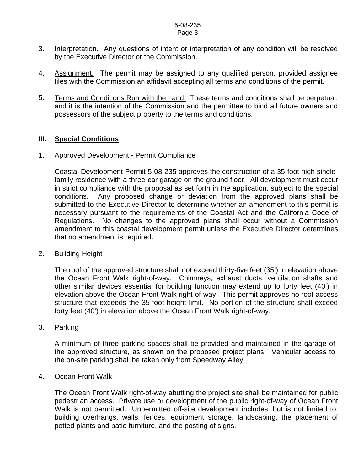#### 5-08-235 Page 3

- 3. Interpretation. Any questions of intent or interpretation of any condition will be resolved by the Executive Director or the Commission.
- 4. Assignment. The permit may be assigned to any qualified person, provided assignee files with the Commission an affidavit accepting all terms and conditions of the permit.
- 5. Terms and Conditions Run with the Land. These terms and conditions shall be perpetual, and it is the intention of the Commission and the permittee to bind all future owners and possessors of the subject property to the terms and conditions.

#### **III. Special Conditions**

#### 1. Approved Development - Permit Compliance

Coastal Development Permit 5-08-235 approves the construction of a 35-foot high singlefamily residence with a three-car garage on the ground floor. All development must occur in strict compliance with the proposal as set forth in the application, subject to the special conditions. Any proposed change or deviation from the approved plans shall be submitted to the Executive Director to determine whether an amendment to this permit is necessary pursuant to the requirements of the Coastal Act and the California Code of Regulations. No changes to the approved plans shall occur without a Commission amendment to this coastal development permit unless the Executive Director determines that no amendment is required.

#### 2. Building Height

The roof of the approved structure shall not exceed thirty-five feet (35') in elevation above the Ocean Front Walk right-of-way. Chimneys, exhaust ducts, ventilation shafts and other similar devices essential for building function may extend up to forty feet (40') in elevation above the Ocean Front Walk right-of-way. This permit approves no roof access structure that exceeds the 35-foot height limit. No portion of the structure shall exceed forty feet (40') in elevation above the Ocean Front Walk right-of-way.

#### 3. Parking

 A minimum of three parking spaces shall be provided and maintained in the garage of the approved structure, as shown on the proposed project plans. Vehicular access to the on-site parking shall be taken only from Speedway Alley.

#### 4. Ocean Front Walk

The Ocean Front Walk right-of-way abutting the project site shall be maintained for public pedestrian access. Private use or development of the public right-of-way of Ocean Front Walk is not permitted. Unpermitted off-site development includes, but is not limited to, building overhangs, walls, fences, equipment storage, landscaping, the placement of potted plants and patio furniture, and the posting of signs.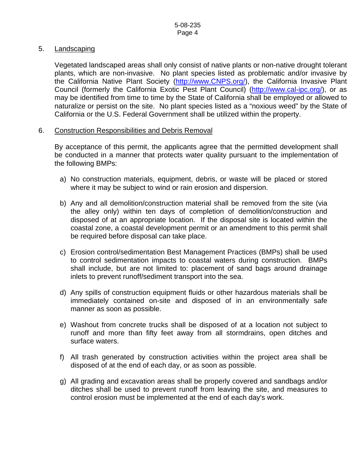#### 5. Landscaping

Vegetated landscaped areas shall only consist of native plants or non-native drought tolerant plants, which are non-invasive. No plant species listed as problematic and/or invasive by the California Native Plant Society ([http://www.CNPS.org/](http://www.cnps.org/)), the California Invasive Plant Council (formerly the California Exotic Pest Plant Council) ([http://www.cal-ipc.org/\)](http://www.cal-ipc.org/), or as may be identified from time to time by the State of California shall be employed or allowed to naturalize or persist on the site. No plant species listed as a "noxious weed" by the State of California or the U.S. Federal Government shall be utilized within the property.

#### 6. Construction Responsibilities and Debris Removal

By acceptance of this permit, the applicants agree that the permitted development shall be conducted in a manner that protects water quality pursuant to the implementation of the following BMPs:

- a) No construction materials, equipment, debris, or waste will be placed or stored where it may be subject to wind or rain erosion and dispersion.
- b) Any and all demolition/construction material shall be removed from the site (via the alley only) within ten days of completion of demolition/construction and disposed of at an appropriate location. If the disposal site is located within the coastal zone, a coastal development permit or an amendment to this permit shall be required before disposal can take place.
- c) Erosion control/sedimentation Best Management Practices (BMPs) shall be used to control sedimentation impacts to coastal waters during construction. BMPs shall include, but are not limited to: placement of sand bags around drainage inlets to prevent runoff/sediment transport into the sea.
- d) Any spills of construction equipment fluids or other hazardous materials shall be immediately contained on-site and disposed of in an environmentally safe manner as soon as possible.
- e) Washout from concrete trucks shall be disposed of at a location not subject to runoff and more than fifty feet away from all stormdrains, open ditches and surface waters.
- f) All trash generated by construction activities within the project area shall be disposed of at the end of each day, or as soon as possible.
- g) All grading and excavation areas shall be properly covered and sandbags and/or ditches shall be used to prevent runoff from leaving the site, and measures to control erosion must be implemented at the end of each day's work.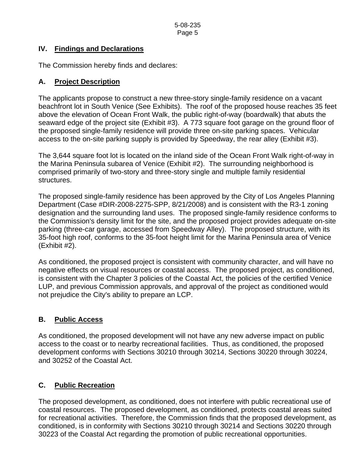## **IV. Findings and Declarations**

The Commission hereby finds and declares:

## **A. Project Description**

The applicants propose to construct a new three-story single-family residence on a vacant beachfront lot in South Venice (See Exhibits). The roof of the proposed house reaches 35 feet above the elevation of Ocean Front Walk, the public right-of-way (boardwalk) that abuts the seaward edge of the project site (Exhibit #3). A 773 square foot garage on the ground floor of the proposed single-family residence will provide three on-site parking spaces. Vehicular access to the on-site parking supply is provided by Speedway, the rear alley (Exhibit #3).

The 3,644 square foot lot is located on the inland side of the Ocean Front Walk right-of-way in the Marina Peninsula subarea of Venice (Exhibit #2). The surrounding neighborhood is comprised primarily of two-story and three-story single and multiple family residential structures.

The proposed single-family residence has been approved by the City of Los Angeles Planning Department (Case #DIR-2008-2275-SPP, 8/21/2008) and is consistent with the R3-1 zoning designation and the surrounding land uses. The proposed single-family residence conforms to the Commission's density limit for the site, and the proposed project provides adequate on-site parking (three-car garage, accessed from Speedway Alley). The proposed structure, with its 35-foot high roof, conforms to the 35-foot height limit for the Marina Peninsula area of Venice (Exhibit #2).

As conditioned, the proposed project is consistent with community character, and will have no negative effects on visual resources or coastal access. The proposed project, as conditioned, is consistent with the Chapter 3 policies of the Coastal Act, the policies of the certified Venice LUP, and previous Commission approvals, and approval of the project as conditioned would not prejudice the City's ability to prepare an LCP.

## **B. Public Access**

As conditioned, the proposed development will not have any new adverse impact on public access to the coast or to nearby recreational facilities. Thus, as conditioned, the proposed development conforms with Sections 30210 through 30214, Sections 30220 through 30224, and 30252 of the Coastal Act.

## **C. Public Recreation**

The proposed development, as conditioned, does not interfere with public recreational use of coastal resources. The proposed development, as conditioned, protects coastal areas suited for recreational activities. Therefore, the Commission finds that the proposed development, as conditioned, is in conformity with Sections 30210 through 30214 and Sections 30220 through 30223 of the Coastal Act regarding the promotion of public recreational opportunities.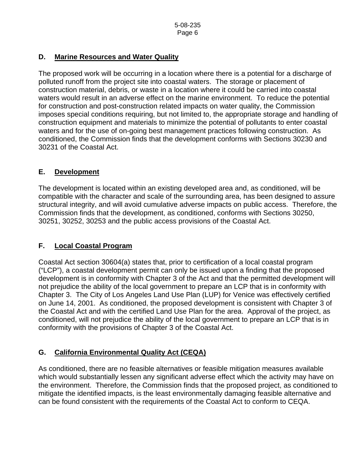## **D. Marine Resources and Water Quality**

The proposed work will be occurring in a location where there is a potential for a discharge of polluted runoff from the project site into coastal waters. The storage or placement of construction material, debris, or waste in a location where it could be carried into coastal waters would result in an adverse effect on the marine environment. To reduce the potential for construction and post-construction related impacts on water quality, the Commission imposes special conditions requiring, but not limited to, the appropriate storage and handling of construction equipment and materials to minimize the potential of pollutants to enter coastal waters and for the use of on-going best management practices following construction. As conditioned, the Commission finds that the development conforms with Sections 30230 and 30231 of the Coastal Act.

## **E. Development**

The development is located within an existing developed area and, as conditioned, will be compatible with the character and scale of the surrounding area, has been designed to assure structural integrity, and will avoid cumulative adverse impacts on public access. Therefore, the Commission finds that the development, as conditioned, conforms with Sections 30250, 30251, 30252, 30253 and the public access provisions of the Coastal Act.

## **F. Local Coastal Program**

Coastal Act section 30604(a) states that, prior to certification of a local coastal program ("LCP"), a coastal development permit can only be issued upon a finding that the proposed development is in conformity with Chapter 3 of the Act and that the permitted development will not prejudice the ability of the local government to prepare an LCP that is in conformity with Chapter 3. The City of Los Angeles Land Use Plan (LUP) for Venice was effectively certified on June 14, 2001. As conditioned, the proposed development is consistent with Chapter 3 of the Coastal Act and with the certified Land Use Plan for the area. Approval of the project, as conditioned, will not prejudice the ability of the local government to prepare an LCP that is in conformity with the provisions of Chapter 3 of the Coastal Act.

## **G. California Environmental Quality Act (CEQA)**

As conditioned, there are no feasible alternatives or feasible mitigation measures available which would substantially lessen any significant adverse effect which the activity may have on the environment. Therefore, the Commission finds that the proposed project, as conditioned to mitigate the identified impacts, is the least environmentally damaging feasible alternative and can be found consistent with the requirements of the Coastal Act to conform to CEQA.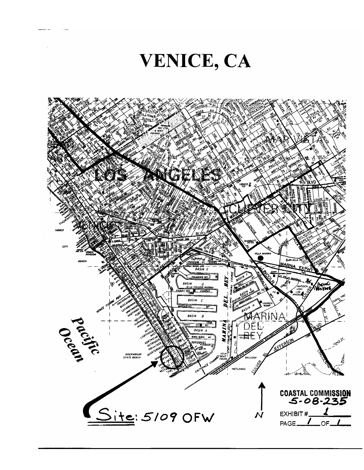# VENICE, CA

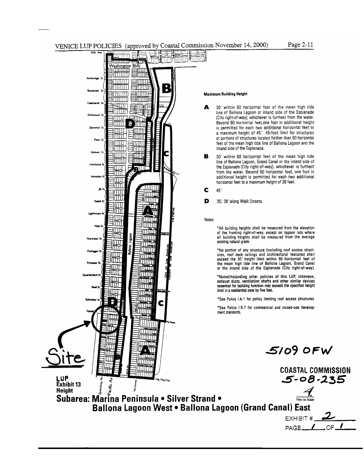Б

प्राप्ताप्त a izan zain Washington Blvd सामग्रा **THEFT** TIMAT uuu amm

THITI

min s

Þ TITTLI

تالاتكا للاتلتا

日皿

∦∏∏

आात

IMM

mm

।।ππ

ातात

ШШ

मामा

TITLET

ШM

mmü

प्रधान ПШЛ WM

ШШ.

ШП

ШШ

IMM

חחחח

Via Marina

白血血

Ш

الااللات

11 H H H

MM

litti i

TШ

ПT

mu

Ш

गा।। Ш

ग्राग 'II I TI ाता

3UUT

∃mπ

ШT

माम

lШΠ

ПΠ

IM

mo

ШП

ШЦ

Ш

LUP<br>Exhibit 13

**Ballona** 

**Hb** 5

3000 inun şumi **HIII**I



Page 2-11

30' within 60 horizontal feet of the mean high tide А line of Ballona Lagoon or inland side of the Esplanade (City right-of-way), whichever is furthest from the water. Bevond 60 horizontal feet, one foot in additional height is permitted for each two additional horizontal feet to a maximum height of 45. 45-foot limit for structures or portions of structures located further than 60 horizontal feet of the mean high tide line of Ballona Lagoon and the inland side of the Esplanade.

В 30' within 60 horizontal feet of the mean high tide line of Ballona Lagoon, Grand Canal or the inland side of the Esplanade (City right-of-way), whichever is furthest from the water. Beyond 60 horizontal feet, one foot in additional height is permitted for each two additional horizontal feet to a maximum height of 38 feet.

C 45'

D 35,' 28' along Walk Streets.

Notes:

\*All building heights shall be measured from the elevation of the fronting right-of-way, except on lagoon lots where<br>all building heights shall be measured from the average existing natural grade.

\*No portion of any structure (including roof access structures, roof deck railings and architectural features) shall<br>exceed the 30' height limit within 60 horizontal feet of the mean high tide line of Ballona Lagoon, Grand Canal or the inland side of the Esplanade (City right-of-way).

\*Notwithstanding other policies of this LUP, chimneys,<br>exhaust ducts, ventilation shafts and other similar devices essential for building function may exceed the specified height<br>limit in a residential zone by five feet.

\*See Policy I.A.1 for policy limiting roof access structures.

\*See Policy 1.B.7 for commercial and mixed-use development standards.

 $5/09$  OFW

EXHIBIT # PAGE\_

**COASTAL COMMISSION**  $5 - 08 - 235$ 

Exhibit 13<br>
Height<br>
Subarea: Martina Peninsula • Silver Strand • Ballona Lagoon West . Ballona Lagoon (Grand Canal) East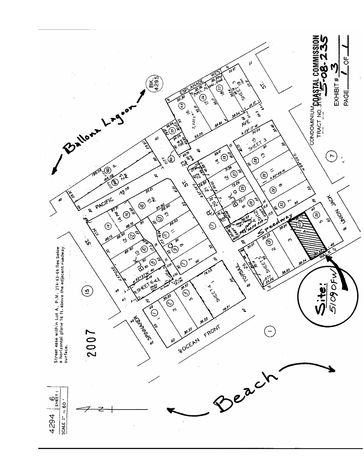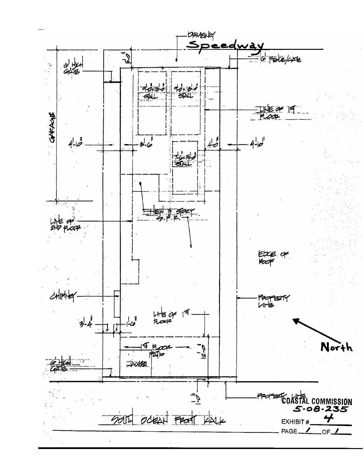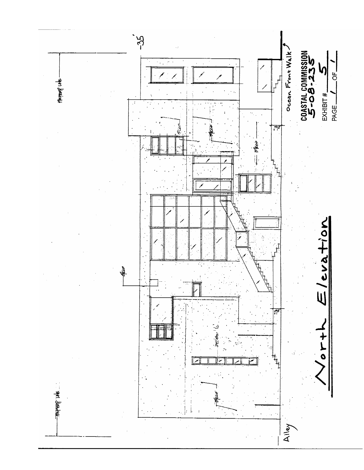